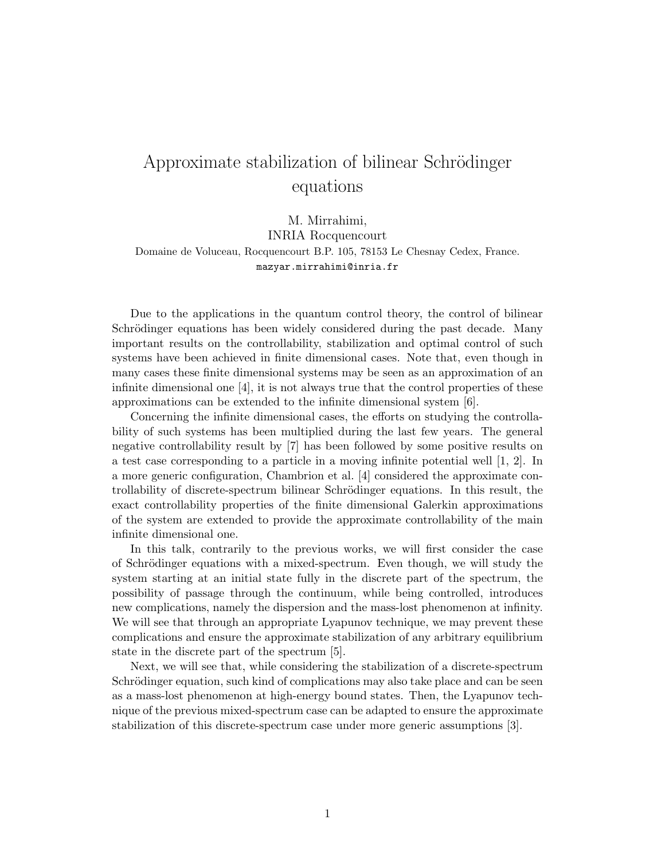## Approximate stabilization of bilinear Schrödinger equations

M. Mirrahimi,

INRIA Rocquencourt Domaine de Voluceau, Rocquencourt B.P. 105, 78153 Le Chesnay Cedex, France. mazyar.mirrahimi@inria.fr

Due to the applications in the quantum control theory, the control of bilinear Schrödinger equations has been widely considered during the past decade. Many important results on the controllability, stabilization and optimal control of such systems have been achieved in finite dimensional cases. Note that, even though in many cases these finite dimensional systems may be seen as an approximation of an infinite dimensional one  $[4]$ , it is not always true that the control properties of these approximations can be extended to the infinite dimensional system [6].

Concerning the infinite dimensional cases, the efforts on studying the controllability of such systems has been multiplied during the last few years. The general negative controllability result by [7] has been followed by some positive results on a test case corresponding to a particle in a moving infinite potential well [1, 2]. In a more generic configuration, Chambrion et al. [4] considered the approximate controllability of discrete-spectrum bilinear Schrödinger equations. In this result, the exact controllability properties of the finite dimensional Galerkin approximations of the system are extended to provide the approximate controllability of the main infinite dimensional one.

In this talk, contrarily to the previous works, we will first consider the case of Schrödinger equations with a mixed-spectrum. Even though, we will study the system starting at an initial state fully in the discrete part of the spectrum, the possibility of passage through the continuum, while being controlled, introduces new complications, namely the dispersion and the mass-lost phenomenon at infinity. We will see that through an appropriate Lyapunov technique, we may prevent these complications and ensure the approximate stabilization of any arbitrary equilibrium state in the discrete part of the spectrum [5].

Next, we will see that, while considering the stabilization of a discrete-spectrum Schrödinger equation, such kind of complications may also take place and can be seen as a mass-lost phenomenon at high-energy bound states. Then, the Lyapunov technique of the previous mixed-spectrum case can be adapted to ensure the approximate stabilization of this discrete-spectrum case under more generic assumptions [3].